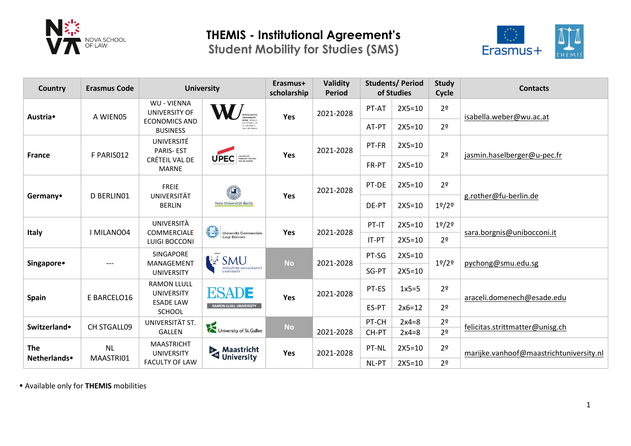

# **THEMIS - Institutional Agreement's**

**Student Mobility for Studies (SMS)**



| Country                    | <b>Erasmus Code</b>    | <b>University</b>                                                  |                                                              | Erasmus+<br>scholarship | <b>Validity</b><br><b>Period</b> | <b>Students/Period</b><br>of Studies |                                | <b>Study</b><br>Cycle          | <b>Contacts</b>                         |  |
|----------------------------|------------------------|--------------------------------------------------------------------|--------------------------------------------------------------|-------------------------|----------------------------------|--------------------------------------|--------------------------------|--------------------------------|-----------------------------------------|--|
| Austria•                   | A WIEN05               | <b>WU - VIENNA</b><br><b>UNIVERSITY OF</b><br><b>ECONOMICS AND</b> | <b>JEN VIENN</b>                                             | Yes                     | 2021-2028                        | PT-AT                                | $2X5 = 10$                     | 2 <sup>o</sup>                 | isabella.weber@wu.ac.at                 |  |
|                            |                        | <b>BUSINESS</b>                                                    | <b><i>INNERSITY O</i></b><br><b>ECONOMICS</b><br>AND BUSINES |                         |                                  | AT-PT                                | $2X5 = 10$                     | 2 <sup>o</sup>                 |                                         |  |
| <b>France</b>              | F PARIS012             | UNIVERSITÉ<br><b>PARIS-EST</b>                                     |                                                              | Yes                     | 2021-2028                        | PT-FR                                | $2X5=10$                       | 2 <sup>o</sup>                 | jasmin.haselberger@u-pec.fr             |  |
|                            |                        | CRÉTEIL VAL DE<br><b>MARNE</b>                                     | UPEC MISSIST CAETER                                          |                         |                                  | FR-PT                                | $2X5 = 10$                     |                                |                                         |  |
|                            |                        | <b>FREIE</b><br>UNIVERSITÄT                                        | $\mathbf{u}$                                                 |                         | 2021-2028                        | PT-DE                                | $2X5 = 10$                     | 2 <sup>o</sup>                 |                                         |  |
| Germany <sup>•</sup>       | D BERLINO1             | <b>BERLIN</b>                                                      | Freie Universität Berlin                                     | Yes                     | DE-PT                            | $2X5=10$                             | 1 <sup>9</sup> /2 <sup>9</sup> | g.rother@fu-berlin.de          |                                         |  |
| <b>Italy</b>               | I MILANO04             | UNIVERSITÀ                                                         | €<br>Università Commerciale<br>Luigi Bocconi                 | Yes                     | 2021-2028                        | PT-IT                                | $2X5 = 10$                     | 1°/2°                          | sara.borgnis@unibocconi.it              |  |
|                            |                        | <b>COMMERCIALE</b><br><b>LUIGI BOCCONI</b>                         |                                                              |                         |                                  | IT-PT                                | $2X5 = 10$                     | 2 <sup>o</sup>                 |                                         |  |
|                            | ---                    | <b>SINGAPORE</b>                                                   | <b>R</b> SMU                                                 | <b>No</b>               | 2021-2028                        | PT-SG                                | $2X5 = 10$                     |                                | pychong@smu.edu.sg                      |  |
| Singapore <sup>•</sup>     |                        | MANAGEMENT<br><b>UNIVERSITY</b>                                    | <b>SINGAPORE MANAGEMENT</b><br><b>UNIVERSITY</b>             |                         |                                  | SG-PT                                | $2X5 = 10$                     | 1 <sup>°</sup> /2 <sup>°</sup> |                                         |  |
| <b>Spain</b>               | E BARCELO16            | <b>RAMON LLULL</b><br><b>UNIVERSITY</b>                            | <b>ESADE</b><br><b>RAMON LLULL UNIVERSITY</b>                | Yes                     | 2021-2028                        | PT-ES                                | $1x5=5$                        | 2 <sup>o</sup>                 | araceli.domenech@esade.edu              |  |
|                            |                        | <b>ESADE LAW</b><br>SCHOOL                                         |                                                              |                         |                                  | ES-PT                                | $2x6=12$                       | 2 <sup>o</sup>                 |                                         |  |
| Switzerland•               | CH STGALL09            | UNIVERSITÄT ST.                                                    | University of St.Gallen                                      | <b>No</b>               |                                  | PT-CH                                | $2x4=8$                        | 2 <sup>o</sup>                 | felicitas.strittmatter@unisg.ch         |  |
|                            |                        | <b>GALLEN</b>                                                      |                                                              |                         | 2021-2028                        | CH-PT                                | $2x4=8$                        | 2 <sup>o</sup>                 |                                         |  |
| <b>The</b><br>Netherlands• | <b>NL</b><br>MAASTRI01 | <b>MAASTRICHT</b><br><b>UNIVERSITY</b>                             | Maastricht<br>University                                     | Yes                     | 2021-2028                        | PT-NL                                | $2X5=10$                       | 2 <sup>o</sup>                 | marijke.vanhoof@maastrichtuniversity.nl |  |
|                            |                        | <b>FACULTY OF LAW</b>                                              |                                                              |                         |                                  | NL-PT                                | $2X5 = 10$                     | 2 <sup>o</sup>                 |                                         |  |

Available only for **THEMIS** mobilities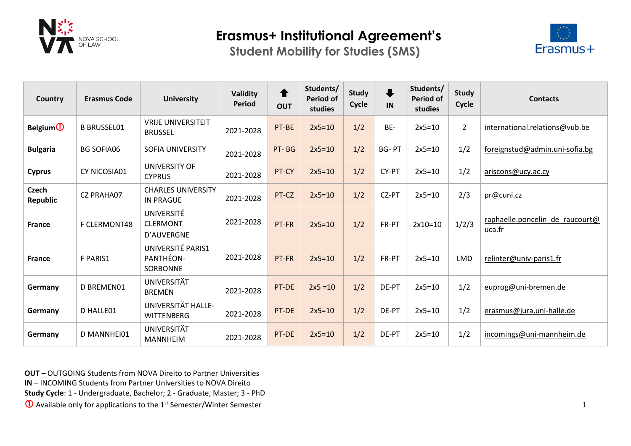

**Student Mobility for Studies (SMS)**



| Country                     | <b>Erasmus Code</b> | <b>University</b>                             | Validity<br><b>Period</b> | $\blacklozenge$<br><b>OUT</b> | Students/<br><b>Period of</b><br>studies | <b>Study</b><br>Cycle | $\ddot{\phantom{A}}$<br>IN | Students/<br><b>Period of</b><br>studies | <b>Study</b><br>Cycle | <b>Contacts</b>                           |
|-----------------------------|---------------------|-----------------------------------------------|---------------------------|-------------------------------|------------------------------------------|-----------------------|----------------------------|------------------------------------------|-----------------------|-------------------------------------------|
| <b>Belgium</b> <sup>1</sup> | <b>B BRUSSEL01</b>  | <b>VRIJE UNIVERSITEIT</b><br><b>BRUSSEL</b>   | 2021-2028                 | PT-BE                         | $2x5=10$                                 | 1/2                   | BE-                        | $2x5=10$                                 | $\overline{2}$        | international.relations@vub.be            |
| <b>Bulgaria</b>             | <b>BG SOFIA06</b>   | <b>SOFIA UNIVERSITY</b>                       | 2021-2028                 | PT-BG                         | $2x5=10$                                 | 1/2                   | <b>BG-PT</b>               | $2x5=10$                                 | 1/2                   | foreignstud@admin.uni-sofia.bg            |
| <b>Cyprus</b>               | CY NICOSIA01        | UNIVERSITY OF<br><b>CYPRUS</b>                | 2021-2028                 | PT-CY                         | $2x5=10$                                 | 1/2                   | CY-PT                      | $2x5=10$                                 | 1/2                   | ariscons@ucy.ac.cy                        |
| <b>Czech</b><br>Republic    | <b>CZ PRAHA07</b>   | <b>CHARLES UNIVERSITY</b><br><b>IN PRAGUE</b> | 2021-2028                 | PT-CZ                         | $2x5=10$                                 | 1/2                   | CZ-PT                      | $2x5=10$                                 | 2/3                   | pr@cuni.cz                                |
| <b>France</b>               | F CLERMONT48        | UNIVERSITÉ<br><b>CLERMONT</b><br>D'AUVERGNE   | 2021-2028                 | PT-FR                         | $2x5=10$                                 | 1/2                   | FR-PT                      | $2x10=10$                                | 1/2/3                 | raphaelle.poncelin de raucourt@<br>uca.fr |
| <b>France</b>               | <b>F PARIS1</b>     | UNIVERSITÉ PARIS1<br>PANTHÉON-<br>SORBONNE    | 2021-2028                 | PT-FR                         | $2x5=10$                                 | 1/2                   | FR-PT                      | $2x5=10$                                 | <b>LMD</b>            | relinter@univ-paris1.fr                   |
| Germany                     | D BREMEN01          | UNIVERSITÄT<br><b>BREMEN</b>                  | 2021-2028                 | PT-DE                         | $2x5 = 10$                               | 1/2                   | DE-PT                      | $2x5=10$                                 | 1/2                   | euprog@uni-bremen.de                      |
| Germany                     | D HALLE01           | UNIVERSITÄT HALLE-<br><b>WITTENBERG</b>       | 2021-2028                 | PT-DE                         | $2x5=10$                                 | 1/2                   | DE-PT                      | $2x5=10$                                 | 1/2                   | erasmus@jura.uni-halle.de                 |
| Germany                     | D MANNHEI01         | <b>UNIVERSITÄT</b><br><b>MANNHEIM</b>         | 2021-2028                 | PT-DE                         | $2x5=10$                                 | 1/2                   | DE-PT                      | $2x5=10$                                 | 1/2                   | incomings@uni-mannheim.de                 |

**OUT** – OUTGOING Students from NOVA Direito to Partner Universities

**IN** – INCOMING Students from Partner Universities to NOVA Direito

**Study Cycle**: 1 - Undergraduate, Bachelor; 2 - Graduate, Master; 3 - PhD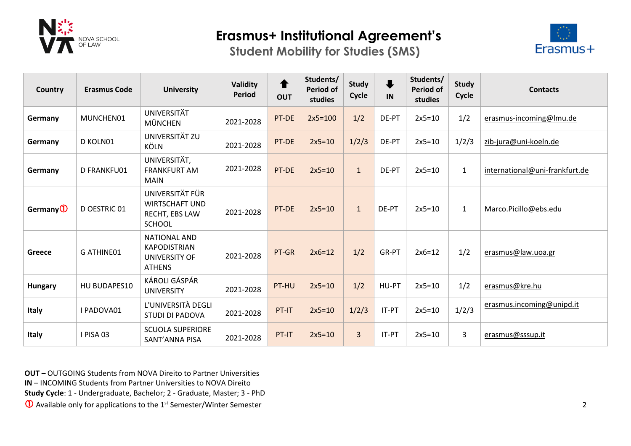

**Student Mobility for Studies (SMS)**



| Country              | <b>Erasmus Code</b> | <b>University</b>                                                            | Validity<br><b>Period</b> | $\blacklozenge$<br><b>OUT</b> | Students/<br><b>Period of</b><br>studies | <b>Study</b><br>Cycle | $\ddot{\phantom{a}}$<br>IN | Students/<br><b>Period of</b><br>studies | <b>Study</b><br>Cycle | <b>Contacts</b>                |
|----------------------|---------------------|------------------------------------------------------------------------------|---------------------------|-------------------------------|------------------------------------------|-----------------------|----------------------------|------------------------------------------|-----------------------|--------------------------------|
| Germany              | MUNCHEN01           | <b>UNIVERSITÄT</b><br><b>MÜNCHEN</b>                                         | 2021-2028                 | PT-DE                         | $2x5=100$                                | 1/2                   | DE-PT                      | $2x5=10$                                 | 1/2                   | erasmus-incoming@lmu.de        |
| Germany              | D KOLN01            | UNIVERSITÄT ZU<br><b>KÖLN</b>                                                | 2021-2028                 | PT-DE                         | $2x5=10$                                 | 1/2/3                 | DE-PT                      | $2x5=10$                                 | 1/2/3                 | zib-jura@uni-koeln.de          |
| Germany              | D FRANKFU01         | UNIVERSITÄT,<br><b>FRANKFURT AM</b><br><b>MAIN</b>                           | 2021-2028                 | PT-DE                         | $2x5=10$                                 | $\mathbf{1}$          | DE-PT                      | $2x5=10$                                 | $\mathbf{1}$          | international@uni-frankfurt.de |
| Germany <sup>1</sup> | D OESTRIC 01        | UNIVERSITÄT FÜR<br><b>WIRTSCHAFT UND</b><br>RECHT, EBS LAW<br><b>SCHOOL</b>  | 2021-2028                 | PT-DE                         | $2x5=10$                                 | $\mathbf{1}$          | DE-PT                      | $2x5=10$                                 | $\mathbf{1}$          | Marco.Picillo@ebs.edu          |
| <b>Greece</b>        | <b>G ATHINE01</b>   | <b>NATIONAL AND</b><br><b>KAPODISTRIAN</b><br>UNIVERSITY OF<br><b>ATHENS</b> | 2021-2028                 | PT-GR                         | $2x6=12$                                 | 1/2                   | GR-PT                      | $2x6=12$                                 | 1/2                   | erasmus@law.uoa.gr             |
| <b>Hungary</b>       | HU BUDAPES10        | KÁROLI GÁSPÁR<br><b>UNIVERSITY</b>                                           | 2021-2028                 | PT-HU                         | $2x5=10$                                 | 1/2                   | HU-PT                      | $2x5=10$                                 | 1/2                   | erasmus@kre.hu                 |
| <b>Italy</b>         | I PADOVA01          | L'UNIVERSITÀ DEGLI<br>STUDI DI PADOVA                                        | 2021-2028                 | PT-IT                         | $2x5=10$                                 | 1/2/3                 | IT-PT                      | $2x5=10$                                 | 1/2/3                 | erasmus.incoming@unipd.it      |
| <b>Italy</b>         | I PISA 03           | <b>SCUOLA SUPERIORE</b><br>SANT'ANNA PISA                                    | 2021-2028                 | PT-IT                         | $2x5=10$                                 | 3                     | IT-PT                      | $2x5=10$                                 | 3                     | erasmus@sssup.it               |

**OUT** – OUTGOING Students from NOVA Direito to Partner Universities

**IN** – INCOMING Students from Partner Universities to NOVA Direito

**Study Cycle**: 1 - Undergraduate, Bachelor; 2 - Graduate, Master; 3 - PhD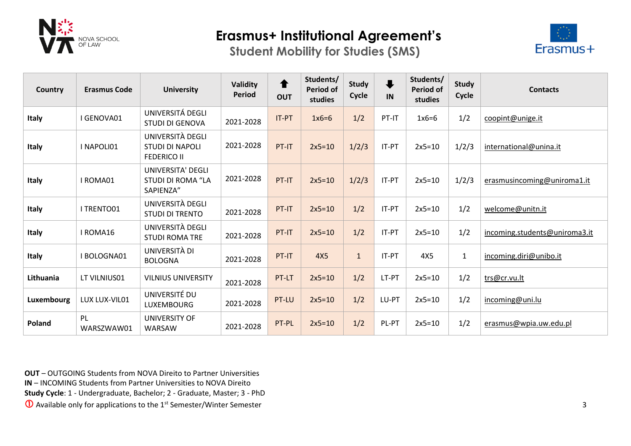

**Student Mobility for Studies (SMS)**



| Country      | <b>Erasmus Code</b> | <b>University</b>                                                 | <b>Validity</b><br><b>Period</b> | ←<br><b>OUT</b> | Students/<br><b>Period of</b><br>studies | <b>Study</b><br>Cycle | $\ddagger$<br>IN | Students/<br><b>Period of</b><br>studies | <b>Study</b><br>Cycle | <b>Contacts</b>               |
|--------------|---------------------|-------------------------------------------------------------------|----------------------------------|-----------------|------------------------------------------|-----------------------|------------------|------------------------------------------|-----------------------|-------------------------------|
| <b>Italy</b> | I GENOVA01          | UNIVERSITÁ DEGLI<br><b>STUDI DI GENOVA</b>                        | 2021-2028                        | IT-PT           | $1x6=6$                                  | 1/2                   | PT-IT            | $1x6=6$                                  | 1/2                   | coopint@unige.it              |
| <b>Italy</b> | I NAPOLI01          | UNIVERSITÀ DEGLI<br><b>STUDI DI NAPOLI</b><br><b>FEDERICO II</b>  | 2021-2028                        | PT-IT           | $2x5=10$                                 | 1/2/3                 | IT-PT            | $2x5=10$                                 | 1/2/3                 | international@unina.it        |
| <b>Italy</b> | I ROMA01            | <b>UNIVERSITA' DEGLI</b><br><b>STUDI DI ROMA "LA</b><br>SAPIENZA" | 2021-2028                        | PT-IT           | $2x5=10$                                 | 1/2/3                 | IT-PT            | $2x5=10$                                 | 1/2/3                 | erasmusincoming@uniroma1.it   |
| <b>Italy</b> | I TRENTO01          | UNIVERSITÀ DEGLI<br><b>STUDI DI TRENTO</b>                        | 2021-2028                        | PT-IT           | $2x5=10$                                 | 1/2                   | IT-PT            | $2x5=10$                                 | 1/2                   | welcome@unitn.it              |
| <b>Italy</b> | I ROMA16            | UNIVERSITÀ DEGLI<br><b>STUDI ROMA TRE</b>                         | 2021-2028                        | PT-IT           | $2x5=10$                                 | 1/2                   | IT-PT            | $2x5=10$                                 | 1/2                   | incoming.students@uniroma3.it |
| <b>Italy</b> | I BOLOGNA01         | UNIVERSITÀ DI<br><b>BOLOGNA</b>                                   | 2021-2028                        | PT-IT           | <b>4X5</b>                               | $\mathbf{1}$          | IT-PT            | 4X5                                      | $\mathbf{1}$          | incoming.diri@unibo.it        |
| Lithuania    | LT VILNIUS01        | <b>VILNIUS UNIVERSITY</b>                                         | 2021-2028                        | PT-LT           | $2x5=10$                                 | 1/2                   | LT-PT            | $2x5=10$                                 | 1/2                   | trs@cr.vu.lt                  |
| Luxembourg   | LUX LUX-VIL01       | UNIVERSITÉ DU<br>LUXEMBOURG                                       | 2021-2028                        | PT-LU           | $2x5=10$                                 | 1/2                   | LU-PT            | $2x5=10$                                 | 1/2                   | incoming@uni.lu               |
| Poland       | PL<br>WARSZWAW01    | <b>UNIVERSITY OF</b><br>WARSAW                                    | 2021-2028                        | PT-PL           | $2x5=10$                                 | 1/2                   | PL-PT            | $2x5=10$                                 | 1/2                   | erasmus@wpia.uw.edu.pl        |

**OUT** – OUTGOING Students from NOVA Direito to Partner Universities

**IN** – INCOMING Students from Partner Universities to NOVA Direito

**Study Cycle**: 1 - Undergraduate, Bachelor; 2 - Graduate, Master; 3 - PhD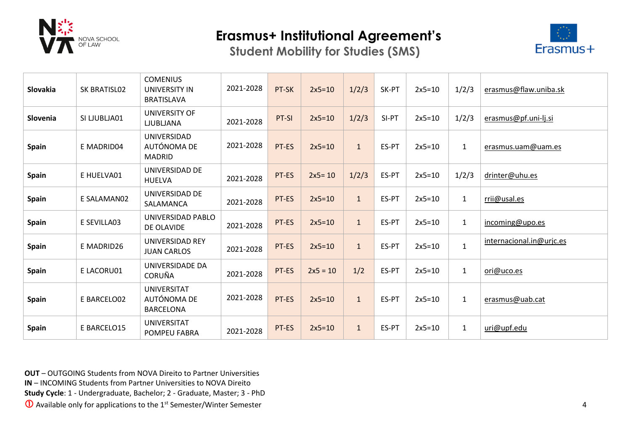

**Student Mobility for Studies (SMS)**



| Slovakia     | SK BRATISL02 | <b>COMENIUS</b><br><b>UNIVERSITY IN</b><br><b>BRATISLAVA</b> | 2021-2028 | PT-SK | $2x5=10$   | 1/2/3        | SK-PT | $2x5=10$ | 1/2/3        | erasmus@flaw.uniba.sk    |
|--------------|--------------|--------------------------------------------------------------|-----------|-------|------------|--------------|-------|----------|--------------|--------------------------|
| Slovenia     | SI LJUBLJA01 | UNIVERSITY OF<br><b>LJUBLJANA</b>                            | 2021-2028 | PT-SI | $2x5=10$   | 1/2/3        | SI-PT | $2x5=10$ | 1/2/3        | erasmus@pf.uni-lj.si     |
| Spain        | E MADRID04   | UNIVERSIDAD<br>AUTÓNOMA DE<br><b>MADRID</b>                  | 2021-2028 | PT-ES | $2x5=10$   | $\mathbf{1}$ | ES-PT | $2x5=10$ | $\mathbf{1}$ | erasmus.uam@uam.es       |
| <b>Spain</b> | E HUELVA01   | UNIVERSIDAD DE<br><b>HUELVA</b>                              | 2021-2028 | PT-ES | $2x5 = 10$ | 1/2/3        | ES-PT | $2x5=10$ | 1/2/3        | drinter@uhu.es           |
| <b>Spain</b> | E SALAMAN02  | UNIVERSIDAD DE<br>SALAMANCA                                  | 2021-2028 | PT-ES | $2x5=10$   | $\mathbf{1}$ | ES-PT | $2x5=10$ | $\mathbf{1}$ | rrii@usal.es             |
| <b>Spain</b> | E SEVILLA03  | UNIVERSIDAD PABLO<br>DE OLAVIDE                              | 2021-2028 | PT-ES | $2x5=10$   | $\mathbf{1}$ | ES-PT | $2x5=10$ | $\mathbf{1}$ | incoming@upo.es          |
| <b>Spain</b> | E MADRID26   | <b>UNIVERSIDAD REY</b><br><b>JUAN CARLOS</b>                 | 2021-2028 | PT-ES | $2x5=10$   | $\mathbf{1}$ | ES-PT | $2x5=10$ | $\mathbf{1}$ | internacional.in@urjc.es |
| <b>Spain</b> | E LACORU01   | UNIVERSIDADE DA<br><b>CORUÑA</b>                             | 2021-2028 | PT-ES | $2x5 = 10$ | 1/2          | ES-PT | $2x5=10$ | $\mathbf{1}$ | ori@uco.es               |
| <b>Spain</b> | E BARCELO02  | <b>UNIVERSITAT</b><br>AUTÓNOMA DE<br><b>BARCELONA</b>        | 2021-2028 | PT-ES | $2x5=10$   | $\mathbf{1}$ | ES-PT | $2x5=10$ | $\mathbf{1}$ | erasmus@uab.cat          |
| <b>Spain</b> | E BARCELO15  | <b>UNIVERSITAT</b><br>POMPEU FABRA                           | 2021-2028 | PT-ES | $2x5=10$   | $\mathbf{1}$ | ES-PT | $2x5=10$ | $\mathbf{1}$ | uri@upf.edu              |

**OUT** – OUTGOING Students from NOVA Direito to Partner Universities

**IN** – INCOMING Students from Partner Universities to NOVA Direito

**Study Cycle**: 1 - Undergraduate, Bachelor; 2 - Graduate, Master; 3 - PhD